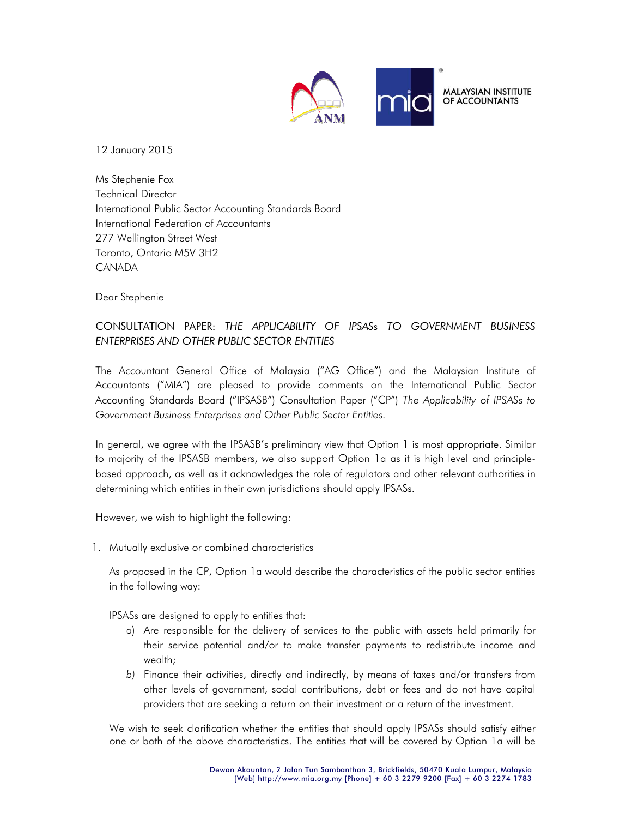

12 January 2015

Ms Stephenie Fox Technical Director International Public Sector Accounting Standards Board International Federation of Accountants 277 Wellington Street West Toronto, Ontario M5V 3H2 **CANADA** 

Dear Stephenie

## CONSULTATION PAPER: THE APPLICABILITY OF IPSASs TO GOVERNMENT BUSINESS ENTERPRISES AND OTHER PUBLIC SECTOR ENTITIES

The Accountant General Office of Malaysia ("AG Office") and the Malaysian Institute of Accountants ("MIA") are pleased to provide comments on the International Public Sector Accounting Standards Board ("IPSASB") Consultation Paper ("CP") The Applicability of IPSASs to Government Business Enterprises and Other Public Sector Entities.

In general, we agree with the IPSASB's preliminary view that Option 1 is most appropriate. Similar to majority of the IPSASB members, we also support Option 1a as it is high level and principlebased approach, as well as it acknowledges the role of regulators and other relevant authorities in determining which entities in their own jurisdictions should apply IPSASs.

However, we wish to highlight the following:

1. Mutually exclusive or combined characteristics

As proposed in the CP, Option 1a would describe the characteristics of the public sector entities in the following way:

IPSASs are designed to apply to entities that:

- a) Are responsible for the delivery of services to the public with assets held primarily for their service potential and/or to make transfer payments to redistribute income and wealth;
- b) Finance their activities, directly and indirectly, by means of taxes and/or transfers from other levels of government, social contributions, debt or fees and do not have capital providers that are seeking a return on their investment or a return of the investment.

We wish to seek clarification whether the entities that should apply IPSASs should satisfy either one or both of the above characteristics. The entities that will be covered by Option 1a will be